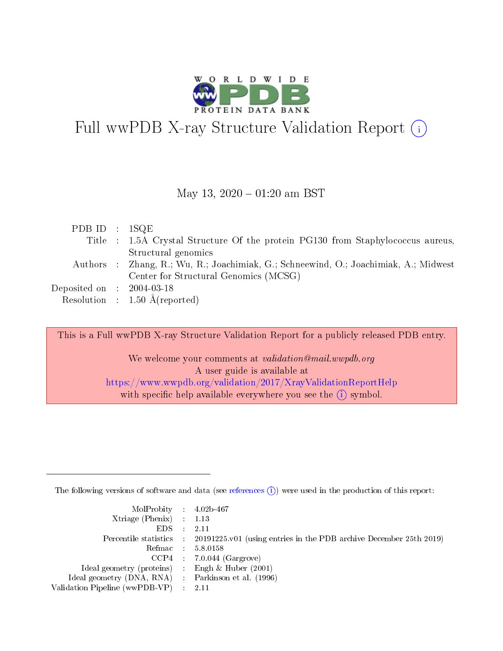

# Full wwPDB X-ray Structure Validation Report  $(i)$

#### May 13,  $2020 - 01:20$  am BST

| PDB ID : $1SQE$                      |                                                                                      |
|--------------------------------------|--------------------------------------------------------------------------------------|
|                                      | Title : 1.5A Crystal Structure Of the protein PG130 from Staphylococcus aureus,      |
|                                      | Structural genomics                                                                  |
|                                      | Authors : Zhang, R.; Wu, R.; Joachimiak, G.; Schneewind, O.; Joachimiak, A.; Midwest |
|                                      | Center for Structural Genomics (MCSG)                                                |
| Deposited on $\therefore$ 2004-03-18 |                                                                                      |
|                                      | Resolution : $1.50 \text{ Å}$ (reported)                                             |

This is a Full wwPDB X-ray Structure Validation Report for a publicly released PDB entry.

We welcome your comments at validation@mail.wwpdb.org A user guide is available at <https://www.wwpdb.org/validation/2017/XrayValidationReportHelp> with specific help available everywhere you see the  $(i)$  symbol.

The following versions of software and data (see [references](https://www.wwpdb.org/validation/2017/XrayValidationReportHelp#references)  $(i)$ ) were used in the production of this report:

| $MolProbability$ 4.02b-467                          |                                                                                            |
|-----------------------------------------------------|--------------------------------------------------------------------------------------------|
| Xtriage (Phenix) $: 1.13$                           |                                                                                            |
| EDS -                                               | -2.11                                                                                      |
|                                                     | Percentile statistics : 20191225.v01 (using entries in the PDB archive December 25th 2019) |
|                                                     | Refmac 58.0158                                                                             |
|                                                     | $CCP4$ : 7.0.044 (Gargrove)                                                                |
| Ideal geometry (proteins) : Engh $\&$ Huber (2001)  |                                                                                            |
| Ideal geometry (DNA, RNA) : Parkinson et al. (1996) |                                                                                            |
| Validation Pipeline (wwPDB-VP) :                    | -2.11                                                                                      |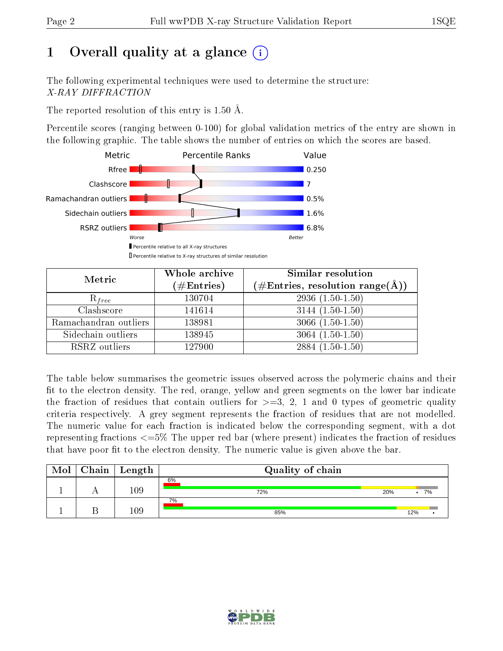# 1 [O](https://www.wwpdb.org/validation/2017/XrayValidationReportHelp#overall_quality)verall quality at a glance  $(i)$

The following experimental techniques were used to determine the structure: X-RAY DIFFRACTION

The reported resolution of this entry is 1.50 Å.

Percentile scores (ranging between 0-100) for global validation metrics of the entry are shown in the following graphic. The table shows the number of entries on which the scores are based.



| Metric                | Whole archive<br>$(\#\text{Entries})$ | <b>Similar resolution</b><br>$(\#\text{Entries}, \text{resolution range}(\text{\AA}))$ |
|-----------------------|---------------------------------------|----------------------------------------------------------------------------------------|
| $R_{free}$            | 130704                                | $2936(1.50-1.50)$                                                                      |
| Clashscore            | 141614                                | $3144(1.50-1.50)$                                                                      |
| Ramachandran outliers | 138981                                | $3066(1.50-1.50)$                                                                      |
| Sidechain outliers    | 138945                                | $3064(1.50-1.50)$                                                                      |
| RSRZ outliers         | 127900                                | $2884(1.50-1.50)$                                                                      |

The table below summarises the geometric issues observed across the polymeric chains and their fit to the electron density. The red, orange, yellow and green segments on the lower bar indicate the fraction of residues that contain outliers for  $>=3, 2, 1$  and 0 types of geometric quality criteria respectively. A grey segment represents the fraction of residues that are not modelled. The numeric value for each fraction is indicated below the corresponding segment, with a dot representing fractions <=5% The upper red bar (where present) indicates the fraction of residues that have poor fit to the electron density. The numeric value is given above the bar.

| Mol | $Chain \  Length$ | Quality of chain |     |     |
|-----|-------------------|------------------|-----|-----|
|     | $109\,$           | 6%<br>72%        | 20% | 7%  |
|     | 109               | 7%<br>85%        |     | 12% |

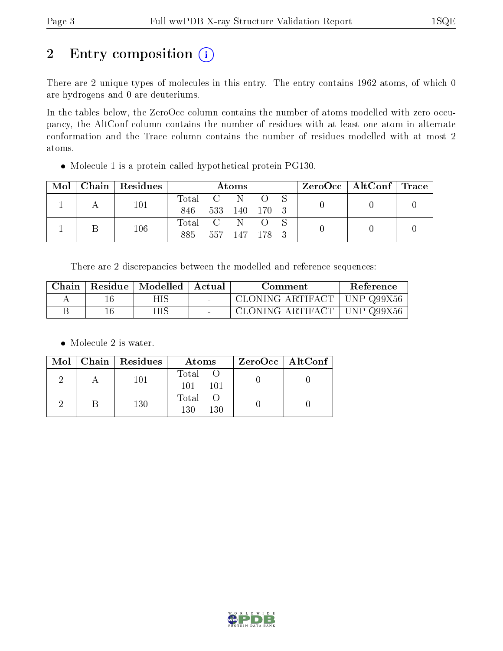# 2 Entry composition (i)

There are 2 unique types of molecules in this entry. The entry contains 1962 atoms, of which 0 are hydrogens and 0 are deuteriums.

In the tables below, the ZeroOcc column contains the number of atoms modelled with zero occupancy, the AltConf column contains the number of residues with at least one atom in alternate conformation and the Trace column contains the number of residues modelled with at most 2 atoms.

Molecule 1 is a protein called hypothetical protein PG130.

| Mol | Chain | Residues | Atoms   |                 |         | $\text{ZeroOcc}$   AltConf   Trace |  |  |  |
|-----|-------|----------|---------|-----------------|---------|------------------------------------|--|--|--|
|     |       | 101      | Total   | $\sim$ C $\sim$ |         |                                    |  |  |  |
|     |       |          | 846     | 533             | - 140   | - 170 - 3                          |  |  |  |
|     |       | 106      | Total C |                 | N       |                                    |  |  |  |
|     |       |          | 885     | 557             | - 147 - |                                    |  |  |  |

There are 2 discrepancies between the modelled and reference sequences:

| Chain | Residue | Modelled   Actual | Comment                                   | Reference |
|-------|---------|-------------------|-------------------------------------------|-----------|
|       |         | HIS.              | CLONING ARTIFACT   UNP Q99X56             |           |
|       |         | НIS               | $\mid$ CLONING ARTIFACT $\mid$ UNP Q99X56 |           |

• Molecule 2 is water.

|  | $Mol$   Chain   Residues | Atoms                 | ZeroOcc   AltConf |
|--|--------------------------|-----------------------|-------------------|
|  | 101                      | Total O<br>101<br>101 |                   |
|  | 130                      | Total O<br>130<br>130 |                   |

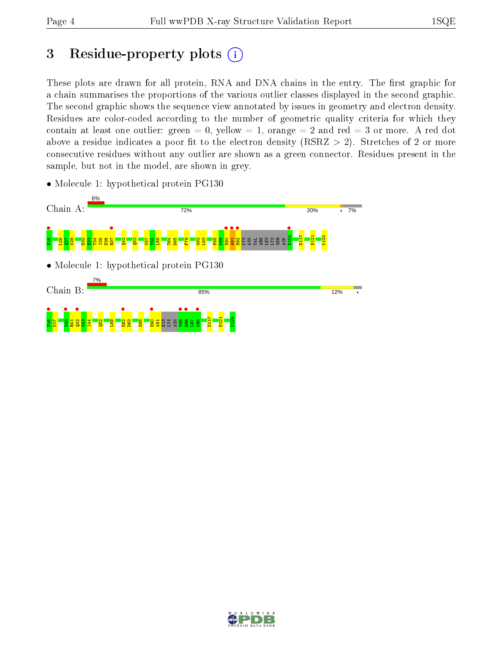# 3 Residue-property plots  $(i)$

These plots are drawn for all protein, RNA and DNA chains in the entry. The first graphic for a chain summarises the proportions of the various outlier classes displayed in the second graphic. The second graphic shows the sequence view annotated by issues in geometry and electron density. Residues are color-coded according to the number of geometric quality criteria for which they contain at least one outlier: green  $= 0$ , yellow  $= 1$ , orange  $= 2$  and red  $= 3$  or more. A red dot above a residue indicates a poor fit to the electron density (RSRZ  $> 2$ ). Stretches of 2 or more consecutive residues without any outlier are shown as a green connector. Residues present in the sample, but not in the model, are shown in grey.



• Molecule 1: hypothetical protein PG130

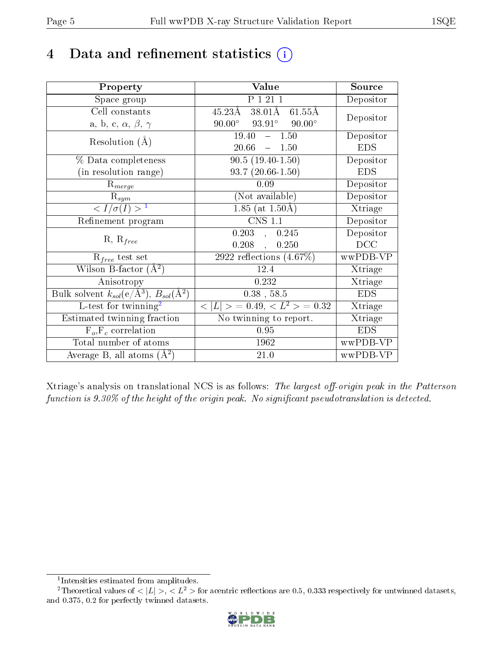# 4 Data and refinement statistics  $(i)$

| Property                                                                | Value                                                       | Source     |
|-------------------------------------------------------------------------|-------------------------------------------------------------|------------|
| Space group                                                             | P 1 21 1                                                    | Depositor  |
| Cell constants                                                          | $38.01\text{\AA}$<br>$45.23\text{\AA}$<br>$61.55\text{\AA}$ | Depositor  |
| a, b, c, $\alpha$ , $\beta$ , $\gamma$                                  | $90.00^{\circ}$<br>$93.91^\circ$<br>$90.00^\circ$           |            |
| Resolution $(A)$                                                        | 19.40<br>$-1.50$                                            | Depositor  |
|                                                                         | 20.66<br>$-1.50$                                            | <b>EDS</b> |
| % Data completeness                                                     | $90.5(19.40-1.50)$                                          | Depositor  |
| (in resolution range)                                                   | $93.7(20.66-1.50)$                                          | <b>EDS</b> |
| $R_{merge}$                                                             | 0.09                                                        | Depositor  |
| $\mathrm{R}_{sym}$                                                      | (Not available)                                             | Depositor  |
| $\langle I/\sigma(I) \rangle^{-1}$                                      | $\overline{1.85}$ (at $1.50$ Å)                             | Xtriage    |
| Refinement program                                                      | <b>CNS 1.1</b>                                              | Depositor  |
|                                                                         | $0.203$ , $0.245$                                           | Depositor  |
| $R, R_{free}$                                                           | 0.208,<br>0.250                                             | DCC        |
| $\mathcal{R}_{free}$ test set                                           | $2922$ reflections $(4.67\%)$                               | wwPDB-VP   |
| Wilson B-factor $(A^2)$                                                 | 12.4                                                        | Xtriage    |
| Anisotropy                                                              | 0.232                                                       | Xtriage    |
| Bulk solvent $k_{sol}(\mathrm{e}/\mathrm{A}^3),\,B_{sol}(\mathrm{A}^2)$ | $0.38$ , 58.5                                               | <b>EDS</b> |
| L-test for twinning <sup>2</sup>                                        | $< L >$ = 0.49, $< L^2 >$ = 0.32                            | Xtriage    |
| Estimated twinning fraction                                             | No twinning to report.                                      | Xtriage    |
| $F_o, F_c$ correlation                                                  | 0.95                                                        | <b>EDS</b> |
| Total number of atoms                                                   | 1962                                                        | wwPDB-VP   |
| Average B, all atoms $(A^2)$                                            | 21.0                                                        | wwPDB-VP   |

Xtriage's analysis on translational NCS is as follows: The largest off-origin peak in the Patterson function is  $9.30\%$  of the height of the origin peak. No significant pseudotranslation is detected.

<sup>&</sup>lt;sup>2</sup>Theoretical values of  $\langle |L| \rangle$ ,  $\langle L^2 \rangle$  for acentric reflections are 0.5, 0.333 respectively for untwinned datasets, and 0.375, 0.2 for perfectly twinned datasets.



<span id="page-4-1"></span><span id="page-4-0"></span><sup>1</sup> Intensities estimated from amplitudes.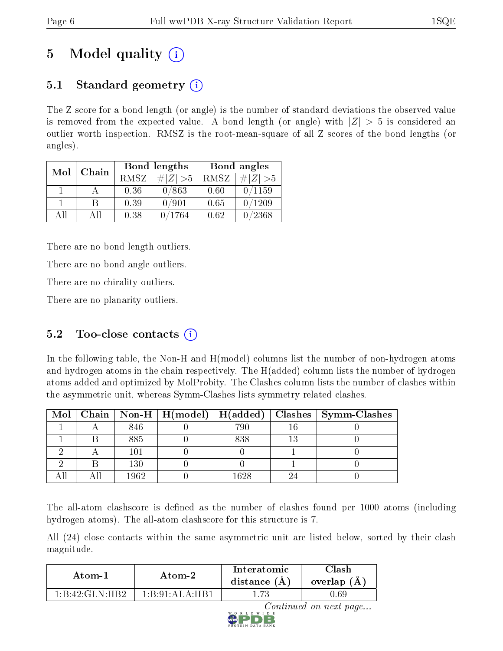# 5 Model quality  $(i)$

## 5.1 Standard geometry  $(i)$

The Z score for a bond length (or angle) is the number of standard deviations the observed value is removed from the expected value. A bond length (or angle) with  $|Z| > 5$  is considered an outlier worth inspection. RMSZ is the root-mean-square of all Z scores of the bond lengths (or angles).

| Mol | Chain |      | Bond lengths | Bond angles |             |  |
|-----|-------|------|--------------|-------------|-------------|--|
|     |       | RMSZ | # $ Z  > 5$  | RMSZ        | # $ Z  > 5$ |  |
|     |       | 0.36 | 0/863        | 0.60        | 0/1159      |  |
|     | В     | 0.39 | 0/901        | 0.65        | 0/1209      |  |
| AH  | Αll   | 0.38 | /1764        | 0.62        | /2368       |  |

There are no bond length outliers.

There are no bond angle outliers.

There are no chirality outliers.

There are no planarity outliers.

### 5.2 Too-close contacts  $(i)$

In the following table, the Non-H and H(model) columns list the number of non-hydrogen atoms and hydrogen atoms in the chain respectively. The H(added) column lists the number of hydrogen atoms added and optimized by MolProbity. The Clashes column lists the number of clashes within the asymmetric unit, whereas Symm-Clashes lists symmetry related clashes.

|  |      | Mol   Chain   Non-H   H(model)   H(added) |      | Clashes   Symm-Clashes |
|--|------|-------------------------------------------|------|------------------------|
|  | 846  |                                           | 790  |                        |
|  | 885  |                                           | 838  |                        |
|  | 101  |                                           |      |                        |
|  | 130  |                                           |      |                        |
|  | 1962 |                                           | 1628 |                        |

The all-atom clashscore is defined as the number of clashes found per 1000 atoms (including hydrogen atoms). The all-atom clashscore for this structure is 7.

All (24) close contacts within the same asymmetric unit are listed below, sorted by their clash magnitude.

| Atom-1                                               | Atom-2           | Interatomic<br>distance (A) | Clash<br>overlap<br>$\mathbf{A}$ |  |
|------------------------------------------------------|------------------|-----------------------------|----------------------------------|--|
| $1 \cdot R \cdot 42 \cdot C \cdot L \cdot H \cdot R$ | 1 R 91 A I A HR1 | $1.73\,$                    | .69 ر                            |  |

Continued on next page...

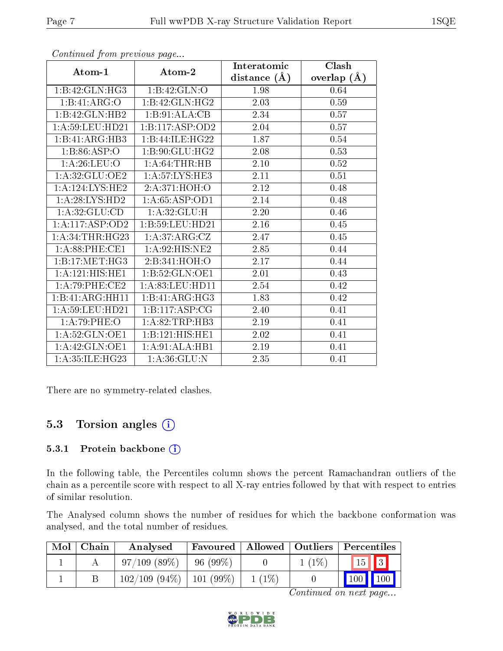|                              |                   | Interatomic    | Clash           |
|------------------------------|-------------------|----------------|-----------------|
| Atom-1                       | Atom-2            | distance $(A)$ | overlap $(\AA)$ |
| 1:B:42:GLN:HG3               | 1:B:42:GLN:O      | 1.98           | 0.64            |
| 1:B:41:ARG:O                 | 1:B:42:GLN:HG2    | 2.03           | 0.59            |
| 1:B:42:GLN:HB2               | 1:B:91:ALA:CB     | 2.34           | 0.57            |
| 1: A:59:LEU:HD21             | 1:B:117:ASP:OD2   | 2.04           | 0.57            |
| 1:B:41:ARG:HB3               | 1:B:44:ILE:HG22   | 1.87           | $0.54\,$        |
| 1:B:86:ASP:O                 | 1:B:90:GLU:HG2    | $2.08\,$       | 0.53            |
| 1: A:26: LEU:O               | 1:A:64:THR:HB     | $2.10\,$       | $0.52\,$        |
| 1:A:32:GLU:OE2               | 1: A:57: LYS:HE3  | 2.11           | 0.51            |
| 1:A:124:LYS:HE2              | 2:A:371:HOH:O     | 2.12           | 0.48            |
| 1:A:28:LYS:HD2               | 1:A:65:ASP:OD1    | 2.14           | 0.48            |
| 1: A:32: GLU:CD              | 1: A:32: GLU:H    | 2.20           | 0.46            |
| 1:A:117:ASP:OD2              | 1:B:59:LEU:HD21   | 2.16           | 0.45            |
| 1: A:34:THR:HG23             | 1:A:37:ARG:CZ     | 2.47           | 0.45            |
| 1: A:88:PHE:CE1              | 1:A:92:HIS:NE2    | 2.85           | 0.44            |
| 1:B:17:MET:HG3               | 2:B:341:HOH:O     | 2.17           | 0.44            |
| 1:A:121:HIS:HE1              | 1:B:52:GLN:OE1    | 2.01           | 0.43            |
| 1:A:79:PHE:CE2               | 1: A:83:LEU:HD11  | 2.54           | 0.42            |
| $1:B:41:ARG:\overline{HH11}$ | 1:B:41:ARG:HG3    | 1.83           | 0.42            |
| 1: A:59:LEU:HD21             | 1:B:117:ASP:CG    | 2.40           | 0.41            |
| 1:A:79:PHE:O                 | 1:A:82:TRP:HB3    | 2.19           | 0.41            |
| 1:A:52:GLN:OE1               | 1:B:121:HIS:HEL   | 2.02           | 0.41            |
| 1:A:42:GLN:OE1               | 1: A:91: ALA: HB1 | 2.19           | 0.41            |
| 1:A:35:ILE:HG23              | 1: A:36: GLU:N    | 2.35           | 0.41            |

Continued from previous page...

There are no symmetry-related clashes.

### 5.3 Torsion angles  $(i)$

#### 5.3.1 Protein backbone (i)

In the following table, the Percentiles column shows the percent Ramachandran outliers of the chain as a percentile score with respect to all X-ray entries followed by that with respect to entries of similar resolution.

The Analysed column shows the number of residues for which the backbone conformation was analysed, and the total number of residues.

| Mol | ∟Chain | Analysed                      |            |          |          | Favoured   Allowed   Outliers   Percentiles |
|-----|--------|-------------------------------|------------|----------|----------|---------------------------------------------|
|     |        | 97/109(89%)                   | $96(99\%)$ |          | $1(1\%)$ | $\vert 15 \vert \vert 3 \vert$              |
|     |        | $102/109$ (94\%)   101 (99\%) |            | $1(1\%)$ |          | $\mid$ 100 $\mid$ 100 $\mid$                |

Continued on next page...

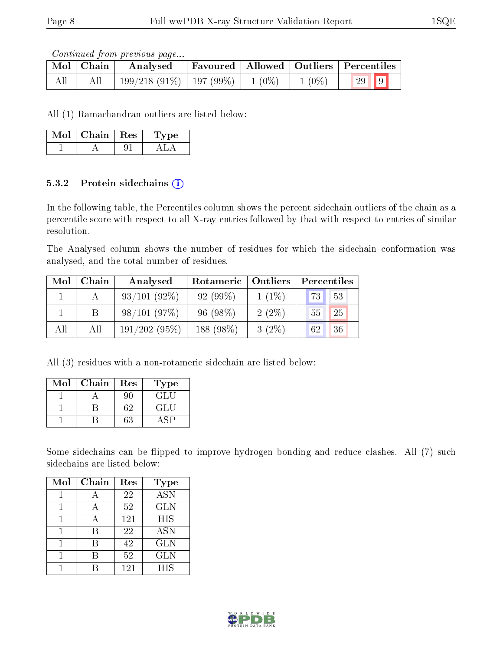Continued from previous page...

|     | Mol   Chain | Analysed                                |  |          | $\perp$ Favoured   Allowed   Outliers   Percentiles |
|-----|-------------|-----------------------------------------|--|----------|-----------------------------------------------------|
| All |             | $199/218$ (91\%)   197 (99\%)   1 (0\%) |  | $1(0\%)$ | $\sqrt{29}$ 9                                       |

All (1) Ramachandran outliers are listed below:

| Mol | Chain | $\perp$ Res | L'vpe : |
|-----|-------|-------------|---------|
|     |       |             |         |

#### 5.3.2 Protein sidechains  $(i)$

In the following table, the Percentiles column shows the percent sidechain outliers of the chain as a percentile score with respect to all X-ray entries followed by that with respect to entries of similar resolution.

The Analysed column shows the number of residues for which the sidechain conformation was analysed, and the total number of residues.

| Mol | Chain | Analysed       | Rotameric  | $\mid$ Outliers | Percentiles |
|-----|-------|----------------|------------|-----------------|-------------|
|     |       | $93/101(92\%)$ | $92(99\%)$ | $1(1\%)$        | 73<br>53    |
|     |       | 98/101(97%)    | $96(98\%)$ | $2(2\%)$        | 25<br>55    |
| All | Αll   | 191/202(95%)   | 188 (98%)  | $3(2\%)$        | 36<br>62    |

All (3) residues with a non-rotameric sidechain are listed below:

| Mol | Chain | $\operatorname{Res}% \left( \mathcal{N}\right) \equiv\operatorname{Res}(\mathcal{N}_{0},\mathcal{N}_{0})$ | Type |
|-----|-------|-----------------------------------------------------------------------------------------------------------|------|
|     |       | 90                                                                                                        | GLU  |
|     |       | 62                                                                                                        | GLU  |
|     |       | 33                                                                                                        |      |

Some sidechains can be flipped to improve hydrogen bonding and reduce clashes. All (7) such sidechains are listed below:

| Mol | Chain | Res | <b>Type</b>      |
|-----|-------|-----|------------------|
|     |       | 22  | $\overline{ASN}$ |
|     |       | 52  | <b>GLN</b>       |
|     | А     | 121 | <b>HIS</b>       |
|     | R     | 22  | <b>ASN</b>       |
|     | R     | 42  | <b>GLN</b>       |
|     |       | 52  | <b>GLN</b>       |
|     |       | 121 | <b>HIS</b>       |

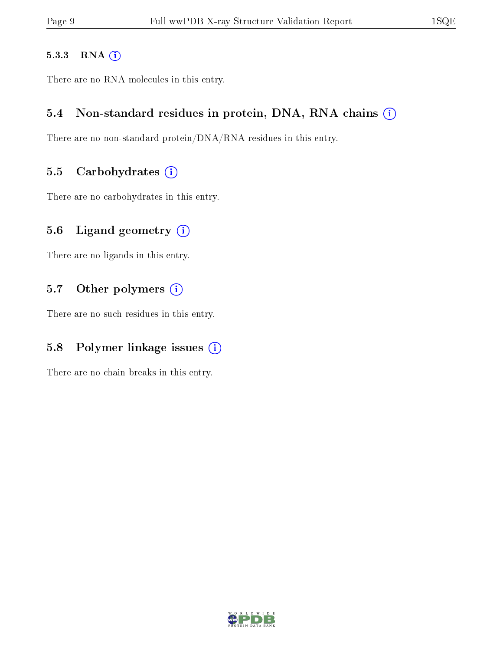#### 5.3.3 RNA [O](https://www.wwpdb.org/validation/2017/XrayValidationReportHelp#rna)i

There are no RNA molecules in this entry.

#### 5.4 Non-standard residues in protein, DNA, RNA chains (i)

There are no non-standard protein/DNA/RNA residues in this entry.

#### 5.5 Carbohydrates  $(i)$

There are no carbohydrates in this entry.

#### 5.6 Ligand geometry  $(i)$

There are no ligands in this entry.

#### 5.7 [O](https://www.wwpdb.org/validation/2017/XrayValidationReportHelp#nonstandard_residues_and_ligands)ther polymers (i)

There are no such residues in this entry.

### 5.8 Polymer linkage issues  $(i)$

There are no chain breaks in this entry.

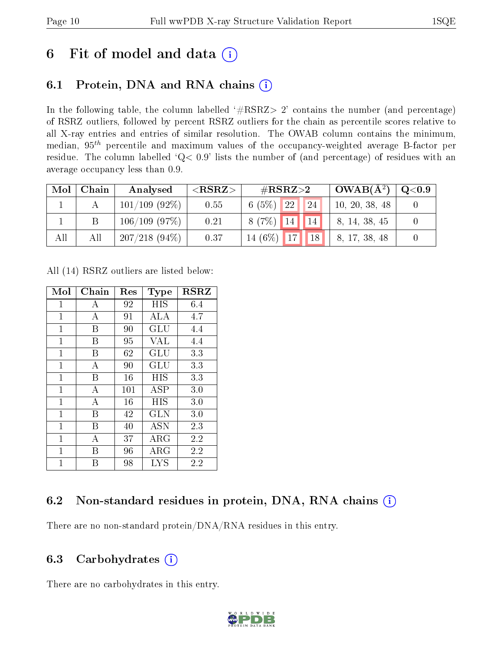## 6 Fit of model and data  $(i)$

## 6.1 Protein, DNA and RNA chains  $(i)$

In the following table, the column labelled  $#RSRZ> 2'$  contains the number (and percentage) of RSRZ outliers, followed by percent RSRZ outliers for the chain as percentile scores relative to all X-ray entries and entries of similar resolution. The OWAB column contains the minimum, median,  $95<sup>th</sup>$  percentile and maximum values of the occupancy-weighted average B-factor per residue. The column labelled ' $Q< 0.9$ ' lists the number of (and percentage) of residues with an average occupancy less than 0.9.

| Mol | Chain | Analysed         | ${ <\hspace{-1.5pt}{\mathrm{RSRZ}} \hspace{-1.5pt}>}$ | $\rm \#RSRZ{>}2$         | $OWAB(A^2)$    | $\rm Q\textcolor{black}{<}0.9$ |
|-----|-------|------------------|-------------------------------------------------------|--------------------------|----------------|--------------------------------|
|     |       | $101/109$ (92\%) | 0.55                                                  | <b>22</b><br>6(5%)<br>24 | 10, 20, 38, 48 |                                |
|     |       | 106/109(97%)     | 0.21                                                  | $8(7\%)$ 14 14           | 8, 14, 38, 45  |                                |
| All | All   | $207/218(94\%)$  | 0.37                                                  | $14(6\%)$ 17<br>18       | 8, 17, 38, 48  |                                |

All (14) RSRZ outliers are listed below:

| Mol            | Chain | Res | <b>Type</b> | <b>RSRZ</b> |
|----------------|-------|-----|-------------|-------------|
| $\mathbf{1}$   | А     | 92  | HIS         | 6.4         |
| $\overline{1}$ | А     | 91  | ALA         | 4.7         |
| $\mathbf{1}$   | В     | 90  | GLU         | 4.4         |
| $\overline{1}$ | B     | 95  | <b>VAL</b>  | 4.4         |
| $\overline{1}$ | В     | 62  | GLU         | 3.3         |
| $\mathbf{1}$   | А     | 90  | GLU         | 3.3         |
| $\mathbf{1}$   | В     | 16  | HIS         | 3.3         |
| $\overline{1}$ | А     | 101 | ASP         | 3.0         |
| $\mathbf{1}$   | А     | 16  | HIS         | 3.0         |
| $\mathbf{1}$   | В     | 42  | <b>GLN</b>  | 3.0         |
| $\mathbf{1}$   | В     | 40  | <b>ASN</b>  | 2.3         |
| $\mathbf{1}$   | А     | 37  | $\rm{ARG}$  | 2.2         |
| 1              | Β     | 96  | $\rm{ARG}$  | 2.2         |
| 1              | В     | 98  | <b>LYS</b>  | 2.2         |

### 6.2 Non-standard residues in protein, DNA, RNA chains  $(i)$

There are no non-standard protein/DNA/RNA residues in this entry.

### 6.3 Carbohydrates  $(i)$

There are no carbohydrates in this entry.